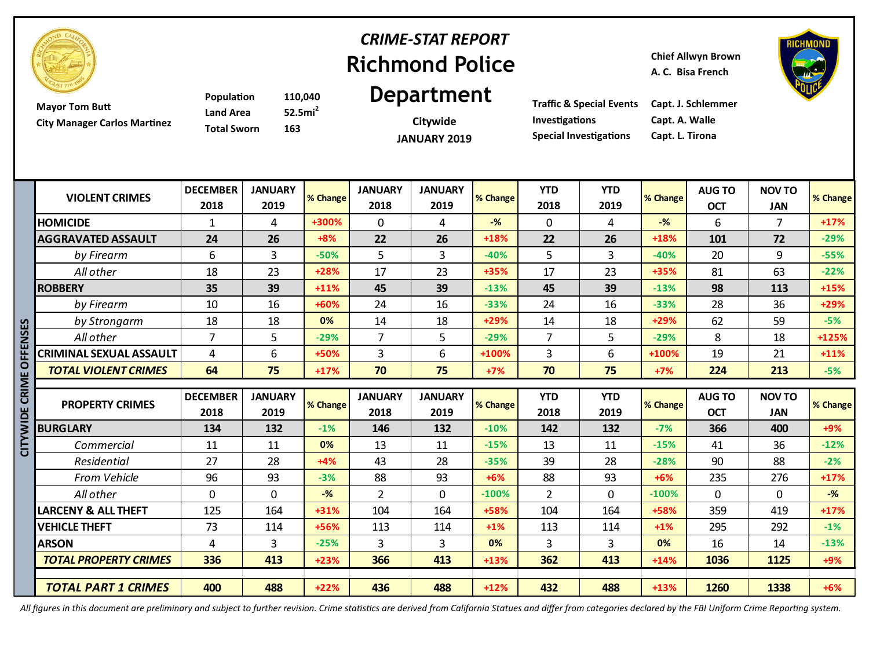

# **Richmond Police**  *CRIME-STAT REPORT*

**Chief Allwyn Brown**

**A. C. Bisa French**



**Mayor Tom Butt City Manager Carlos Martinez**

**Population 110,040 Land Area 52.5mi<sup>2</sup> Total Sworn 163**

# **Department**

**Citywide JANUARY 2019** **Investigations Capt. A. Walle Special Investigations Capt. L. Tirona**

**Traffic & Special Events Capt. J. Schlemmer**

| <b>VIOLENT CRIMES</b>       | <b>DECEMBER</b><br>2018        | <b>JANUARY</b><br>2019        | <b>% Change</b> | <b>JANUARY</b><br>2018        | <b>JANUARY</b><br>2019        | <b>% Change</b> | <b>YTD</b><br>2018        | <b>YTD</b><br>2019   | % Change        | <b>AUG TO</b><br><b>OCT</b> | <b>NOV TO</b><br>JAN         | % Change        |
|-----------------------------|--------------------------------|-------------------------------|-----------------|-------------------------------|-------------------------------|-----------------|---------------------------|----------------------|-----------------|-----------------------------|------------------------------|-----------------|
| HOMICIDE                    |                                | 4                             | +300%           | 0                             | 4                             | $-$ %           | 0                         | 4                    | $-$ %           | 6                           |                              | $+17%$          |
| AGGRAVATED ASSAULT          | 24                             | 26                            | $+8%$           | 22                            | 26                            | $+18%$          | 22                        | 26                   | $+18%$          | 101                         | 72                           | $-29%$          |
| by Firearm                  | 6                              | 3                             | $-50%$          | 5                             | 3                             | $-40%$          | 5.                        | 3                    | $-40%$          | 20                          | 9                            | $-55%$          |
| All other                   | 18                             | 23                            | $+28%$          | 17                            | 23                            | $+35%$          | 17                        | 23                   | $+35%$          | 81                          | 63                           | $-22%$          |
| <b>ROBBERY</b>              | 35                             | 39                            | $+11%$          | 45                            | 39                            | $-13%$          | 45                        | 39                   | $-13%$          | 98                          | 113                          | $+15%$          |
| by Firearm                  | 10                             | 16                            | +60%            | 24                            | 16                            | $-33%$          | 24                        | 16                   | $-33%$          | 28                          | 36                           | $+29%$          |
| by Strongarm                | 18                             | 18                            | 0%              | 14                            | 18                            | $+29%$          | 14                        | 18                   | $+29%$          | 62                          | 59                           | $-5%$           |
| All other                   |                                | 5                             | $-29%$          | ⇁                             | 5.                            | $-29%$          | 7                         | 5                    | $-29%$          | 8                           | 18                           | $+125%$         |
| CRIMINAL SEXUAL ASSAULT     | 4                              | 6                             | $+50%$          | 3                             | 6                             | +100%           | 3                         | 6                    | $+100%$         | 19                          | 21                           | $+11%$          |
| <b>TOTAL VIOLENT CRIMES</b> | 64                             | 75                            | $+17%$          | 70                            | 75                            | $+7%$           | 70                        | 75                   | $+7%$           | 224                         | 213                          | $-5%$           |
|                             |                                |                               |                 |                               |                               |                 |                           |                      |                 |                             |                              |                 |
| <b>PROPERTY CRIMES</b>      | <b>DECEMBER</b><br><b>2010</b> | <b>JANUARY</b><br><b>2010</b> | <b>% Change</b> | <b>JANUARY</b><br><b>2010</b> | <b>JANUARY</b><br><b>2010</b> | <b>% Change</b> | <b>YTD</b><br><b>2010</b> | <b>YTD</b><br>$3010$ | <b>% Change</b> | <b>AUG TO</b><br>$\sim$     | <b>NOV TO</b><br><b>IANI</b> | <b>% Change</b> |

|   | by Strongarm                   | 18.             | 18             | U%       | 14             | 18.            | +29%     | 14             | 18.        | $+29%$   | .bZ           | 59            | -5%      |
|---|--------------------------------|-----------------|----------------|----------|----------------|----------------|----------|----------------|------------|----------|---------------|---------------|----------|
|   | All other                      | 7               | 5              | $-29%$   | 7              | 5              | $-29%$   | 7              | 5          | $-29%$   | 8             | 18            | +125%    |
|   | <b>CRIMINAL SEXUAL ASSAULT</b> | 4               | 6              | +50%     | 3              | 6              | $+100%$  | 3              | 6          | +100%    | 19            | 21            | $+11%$   |
|   | <b>TOTAL VIOLENT CRIMES</b>    | 64              | 75             | $+17%$   | 70             | 75             | $+7%$    | 70             | 75         | $+7%$    | 224           | 213           | $-5%$    |
|   |                                |                 |                |          |                |                |          |                |            |          |               |               |          |
| ō | <b>PROPERTY CRIMES</b>         | <b>DECEMBER</b> | <b>JANUARY</b> | % Change | <b>JANUARY</b> | <b>JANUARY</b> | % Change | <b>YTD</b>     | <b>YTD</b> | % Change | <b>AUG TO</b> | <b>NOV TO</b> | % Change |
|   |                                | 2018            | 2019           |          | 2018           | 2019           |          | 2018           | 2019       |          | <b>OCT</b>    | <b>JAN</b>    |          |
|   | <b>BURGLARY</b>                | 134             | 132            | $-1%$    | 146            | 132            | $-10%$   | 142            | 132        | $-7%$    | 366           | 400           | $+9%$    |
|   | Commercial                     | 11              | 11             | 0%       | 13             | 11             | $-15%$   | 13             | 11         | $-15%$   | 41            | 36            | $-12%$   |
|   | Residential                    | 27              | 28             | $+4%$    | 43             | 28             | $-35%$   | 39             | 28         | $-28%$   | 90            | 88            | $-2%$    |
|   | <b>From Vehicle</b>            | 96              | 93             | $-3%$    | 88             | 93             | $+6%$    | 88             | 93         | $+6%$    | 235           | 276           | $+17%$   |
|   | All other                      | 0               | $\Omega$       | $-$ %    | $\overline{2}$ | $\mathbf{0}$   | $-100%$  | $\overline{2}$ | $\Omega$   | $-100%$  | $\Omega$      | 0             | $-$ %    |
|   | <b>LARCENY &amp; ALL THEFT</b> | 125             | 164            | $+31%$   | 104            | 164            | +58%     | 104            | 164        | +58%     | 359           | 419           | $+17%$   |
|   | <b>VEHICLE THEFT</b>           | 73              | 114            | $+56%$   | 113            | 114            | $+1\%$   | 113            | 114        | $+1\%$   | 295           | 292           | $-1%$    |
|   | <b>ARSON</b>                   | 4               | 3              | $-25%$   | 3              | 3              | 0%       | 3              | 3          | 0%       | 16            | 14            | $-13%$   |
|   | TOTAL PROPERTY CRIMES          | 336             | 413            | $+23%$   | 366            | 413            | $+13%$   | 362            | 413        | $+14%$   | 1036          | 1125          | $+9%$    |
|   |                                |                 |                |          |                |                |          |                |            |          |               |               |          |
|   | <b>TOTAL PART 1 CRIMES</b>     | 400             | 488            | $+22%$   | 436            | 488            | $+12%$   | 432            | 488        | $+13%$   | 1260          | 1338          | $+6%$    |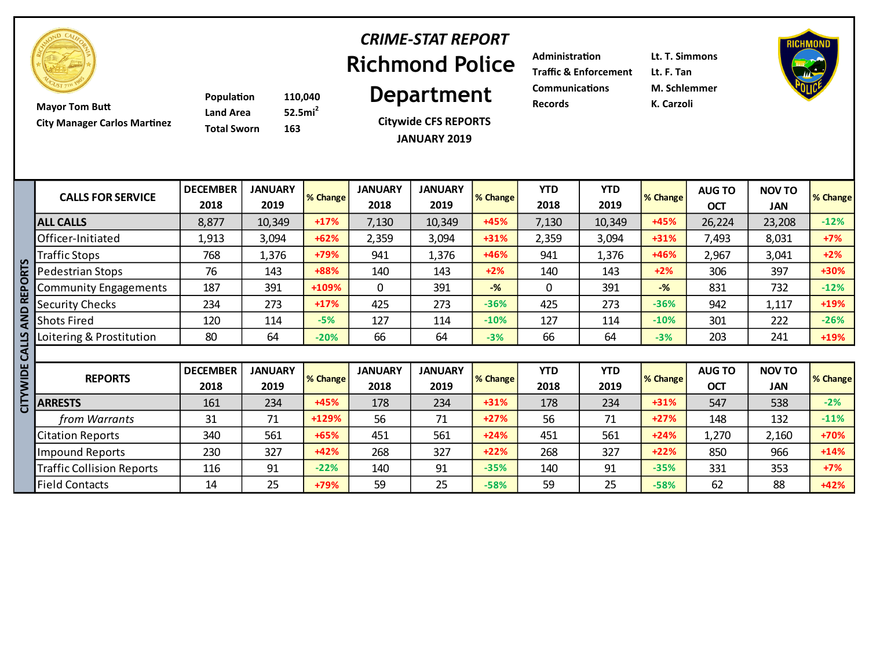

# **Richmond Police**  *CRIME-STAT REPORT*

**City Manager Carlos Martinez**

**Population 110,040 Land Area 52.5mi<sup>2</sup> Total Sworn 163**

**Citywide CFS REPORTS JANUARY 2019**

**Example 110,040 Department** Communications M. Schler **Mayor Tom Butt Records Records Records K. Carzoli Administration Lt. T. Simmons Traffic & Enforcement Lt. F. Tan Communications M. Schlemmer**



|             | <b>CALLS FOR SERVICE</b>         | <b>DECEMBER</b><br>2018 | <b>JANUARY</b><br>2019 | % Change | <b>JANUARY</b><br>2018 | <b>JANUARY</b><br>2019 | % Change       | <b>YTD</b><br>2018 | <b>YTD</b><br>2019 | % Change | <b>AUG TO</b><br><b>OCT</b> | <b>NOV TO</b><br><b>JAN</b> | % Change |
|-------------|----------------------------------|-------------------------|------------------------|----------|------------------------|------------------------|----------------|--------------------|--------------------|----------|-----------------------------|-----------------------------|----------|
|             | <b>ALL CALLS</b>                 | 8,877                   | 10,349                 | $+17%$   | 7,130                  | 10,349                 | +45%           | 7,130              | 10,349             | +45%     | 26,224                      | 23,208                      | $-12%$   |
|             | Officer-Initiated                | 1,913                   | 3,094                  | $+62%$   | 2,359                  | 3,094                  | $+31%$         | 2,359              | 3,094              | $+31%$   | 7,493                       | 8,031                       | $+7%$    |
|             | Traffic Stops                    | 768                     | 1,376                  | +79%     | 941                    | 1,376                  | +46%           | 941                | 1,376              | +46%     | 2,967                       | 3,041                       | $+2%$    |
| <b>ORTS</b> | Pedestrian Stops                 | 76                      | 143                    | +88%     | 140                    | 143                    | $+2%$          | 140                | 143                | $+2%$    | 306                         | 397                         | +30%     |
| REP         | Community Engagements            | 187                     | 391                    | +109%    | 0                      | 391                    | $-\frac{9}{6}$ | 0                  | 391                | $-%$     | 831                         | 732                         | $-12%$   |
|             | <b>Security Checks</b>           | 234                     | 273                    | $+17%$   | 425                    | 273                    | $-36%$         | 425                | 273                | $-36%$   | 942                         | 1,117                       | $+19%$   |
| QND         | <b>Shots Fired</b>               | 120                     | 114                    | $-5%$    | 127                    | 114                    | $-10%$         | 127                | 114                | $-10%$   | 301                         | 222                         | $-26%$   |
| S           | Loitering & Prostitution         | 80                      | 64                     | $-20%$   | 66                     | 64                     | $-3%$          | 66                 | 64                 | $-3%$    | 203                         | 241                         | $+19%$   |
| CALL!       |                                  |                         |                        |          |                        |                        |                |                    |                    |          |                             |                             |          |
| CITYWIDE    | <b>REPORTS</b>                   | <b>DECEMBER</b><br>2018 | <b>JANUARY</b><br>2019 | % Change | <b>JANUARY</b><br>2018 | <b>JANUARY</b><br>2019 | % Change       | <b>YTD</b><br>2018 | <b>YTD</b><br>2019 | % Change | <b>AUG TO</b><br><b>OCT</b> | <b>NOV TO</b><br>JAN        | % Change |
|             | <b>ARRESTS</b>                   | 161                     | 234                    | +45%     | 178                    | 234                    | $+31%$         | 178                | 234                | $+31%$   | 547                         | 538                         | $-2%$    |
|             | from Warrants                    | 31                      | 71                     | +129%    | 56                     | 71                     | $+27%$         | 56                 | 71                 | $+27%$   | 148                         | 132                         | $-11%$   |
|             | <b>Citation Reports</b>          | 340                     | 561                    | $+65%$   | 451                    | 561                    | $+24%$         | 451                | 561                | $+24%$   | 1,270                       | 2,160                       | $+70%$   |
|             | <b>Impound Reports</b>           | 230                     | 327                    | $+42%$   | 268                    | 327                    | $+22%$         | 268                | 327                | $+22%$   | 850                         | 966                         | $+14%$   |
|             | <b>Traffic Collision Reports</b> | 116                     | 91                     | $-22%$   | 140                    | 91                     | $-35%$         | 140                | 91                 | $-35%$   | 331                         | 353                         | $+7%$    |
|             | <b>Field Contacts</b>            | 14                      | 25                     | +79%     | 59                     | 25                     | $-58%$         | 59                 | 25                 | $-58%$   | 62                          | 88                          | $+42%$   |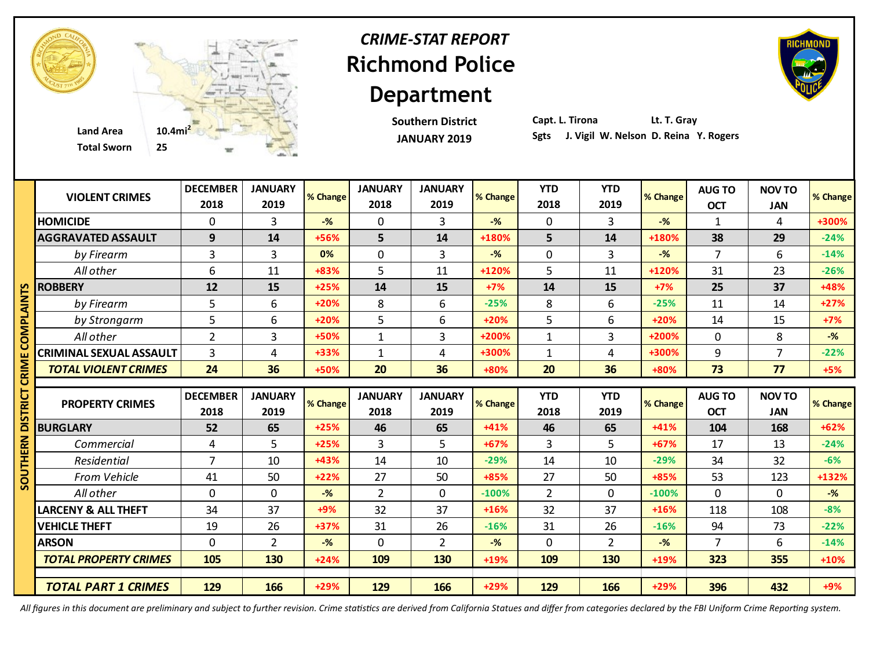

### **Richmond Police Department** *CRIME-STAT REPORT*

**Southern District JANUARY 2019**

**Capt. L. Tirona Lt. T. Gray**

|            | <b>VIOLENT CRIMES</b>          | <b>DECEMBER</b><br>2018 | <b>JANUARY</b><br>2019 | % Change | <b>JANUARY</b><br>2018 | <b>JANUARY</b><br>2019 | % Change       | <b>YTD</b><br>2018 | <b>YTD</b><br>2019 | % Change       | <b>AUG TO</b><br><b>OCT</b> | <b>NOV TO</b><br><b>JAN</b> | % Change |
|------------|--------------------------------|-------------------------|------------------------|----------|------------------------|------------------------|----------------|--------------------|--------------------|----------------|-----------------------------|-----------------------------|----------|
|            | <b>HOMICIDE</b>                | $\Omega$                | 3                      | $-$ %    | 0                      | 3                      | $-$ %          | $\mathbf{0}$       | 3                  | $-$ %          | $\mathbf{1}$                | 4                           | +300%    |
|            | <b>AGGRAVATED ASSAULT</b>      | 9                       | 14                     | +56%     | 5                      | 14                     | +180%          | 5                  | 14                 | +180%          | 38                          | 29                          | $-24%$   |
|            | by Firearm                     | 3                       | 3                      | 0%       | $\mathbf 0$            | $\overline{3}$         | $-\frac{9}{6}$ | $\mathbf 0$        | 3                  | $-\frac{9}{6}$ | $\overline{7}$              | 6                           | $-14%$   |
|            | All other                      | 6                       | 11                     | +83%     | 5                      | 11                     | +120%          | 5                  | 11                 | $+120%$        | 31                          | 23                          | $-26%$   |
| n          | <b>ROBBERY</b>                 | 12                      | 15                     | $+25%$   | 14                     | 15                     | $+7%$          | 14                 | 15                 | $+7%$          | 25                          | 37                          | +48%     |
| או<br>3    | by Firearm                     | 5                       | 6                      | $+20%$   | 8                      | 6                      | $-25%$         | 8                  | 6                  | $-25%$         | 11                          | 14                          | $+27%$   |
|            | by Strongarm                   | 5                       | 6                      | $+20%$   | 5                      | 6                      | $+20%$         | 5                  | 6                  | $+20%$         | 14                          | 15                          | $+7%$    |
| <b>AND</b> | All other                      | $\overline{2}$          | 3                      | +50%     | $\mathbf{1}$           | $\overline{3}$         | +200%          | $\mathbf{1}$       | $\overline{3}$     | +200%          | $\mathbf{0}$                | 8                           | $-%$     |
|            | <b>CRIMINAL SEXUAL ASSAULT</b> | 3                       | 4                      | +33%     | $\mathbf{1}$           | 4                      | +300%          | $\mathbf{1}$       | 4                  | +300%          | 9                           | $\overline{7}$              | $-22%$   |
|            | <b>TOTAL VIOLENT CRIMES</b>    | 24                      | 36                     | +50%     | 20                     | 36                     | +80%           | 20                 | 36                 | +80%           | 73                          | 77                          | $+5%$    |
|            |                                |                         |                        |          |                        |                        |                |                    |                    |                |                             |                             |          |
| ᄒ          | <b>PROPERTY CRIMES</b>         | <b>DECEMBER</b>         | <b>JANUARY</b>         | % Change | <b>JANUARY</b>         | <b>JANUARY</b>         | % Change       | <b>YTD</b>         | <b>YTD</b>         | % Change       | <b>AUG TO</b>               | <b>NOV TO</b>               | % Change |
|            |                                | 2018                    | 2019                   |          |                        |                        |                |                    |                    |                |                             |                             |          |
|            |                                |                         |                        |          | 2018                   | 2019                   |                | 2018               | 2019               |                | <b>OCT</b>                  | <b>JAN</b>                  |          |
|            | <b>BURGLARY</b>                | 52                      | 65                     | $+25%$   | 46                     | 65                     | $+41%$         | 46                 | 65                 | $+41%$         | 104                         | 168                         | $+62%$   |
|            | Commercial                     | 4                       | 5                      | $+25%$   | 3                      | 5                      | $+67%$         | 3                  | 5                  | $+67%$         | 17                          | 13                          | $-24%$   |
|            | Residential                    | $\overline{7}$          | 10                     | +43%     | 14                     | 10                     | $-29%$         | 14                 | 10                 | $-29%$         | 34                          | 32                          | $-6%$    |
| 2          | From Vehicle                   | 41                      | 50                     | $+22%$   | 27                     | 50                     | +85%           | 27                 | 50                 | +85%           | 53                          | 123                         | +132%    |
|            | All other                      | 0                       | $\mathbf 0$            | $-%$     | $\overline{2}$         | $\mathbf 0$            | $-100%$        | $\overline{2}$     | 0                  | $-100%$        | $\mathbf{0}$                | $\mathbf 0$                 | $-$ %    |
|            | <b>LARCENY &amp; ALL THEFT</b> | 34                      | 37                     | $+9%$    | 32                     | 37                     | +16%           | 32                 | 37                 | $+16%$         | 118                         | 108                         | $-8%$    |
|            | <b>VEHICLE THEFT</b>           | 19                      | 26                     | +37%     | 31                     | 26                     | $-16%$         | 31                 | 26                 | $-16%$         | 94                          | 73                          | $-22%$   |
|            | <b>ARSON</b>                   | 0                       | $\overline{2}$         | $-%$     | $\mathbf 0$            | $\overline{2}$         | $-$ %          | $\mathbf 0$        | $\overline{2}$     | $-%$           | $\overline{7}$              | 6                           | $-14%$   |
|            | <b>TOTAL PROPERTY CRIMES</b>   | 105                     | 130                    | $+24%$   | 109                    | 130                    | +19%           | 109                | 130                | +19%           | 323                         | 355                         | $+10%$   |
|            |                                |                         |                        |          |                        |                        |                |                    |                    |                |                             |                             |          |

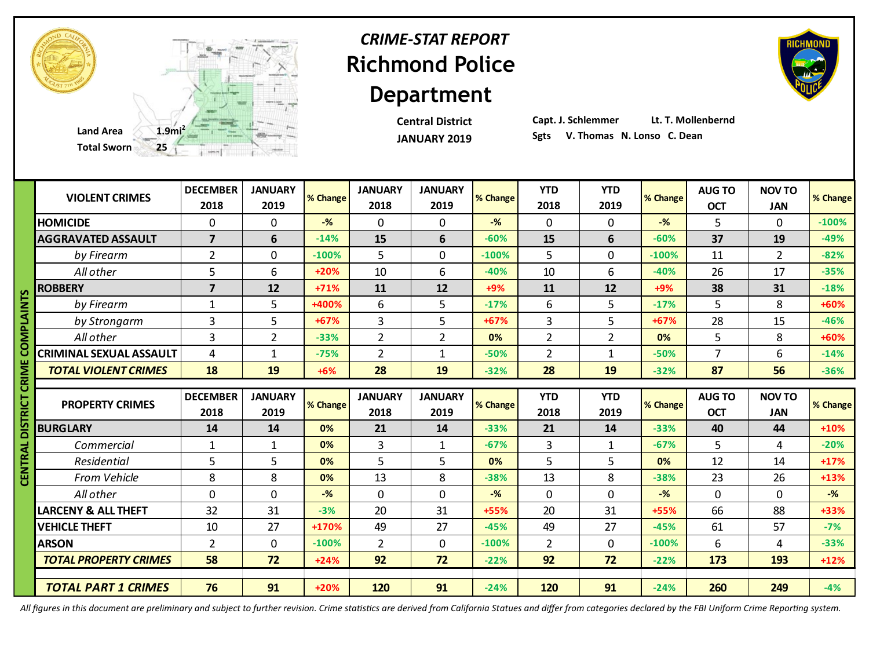

### **Richmond Police Department** *CRIME-STAT REPORT*

**Central District JANUARY 2019**

**Capt. J. Schlemmer Lt. T. Mollenbernd**

|              |                                | <b>DECEMBER</b> | <b>JANUARY</b> | % Change | <b>JANUARY</b> | <b>JANUARY</b> | % Change | <b>YTD</b>     | <b>YTD</b>     | % Change       | <b>AUG TO</b>  | <b>NOV TO</b>  |          |
|--------------|--------------------------------|-----------------|----------------|----------|----------------|----------------|----------|----------------|----------------|----------------|----------------|----------------|----------|
|              | <b>VIOLENT CRIMES</b>          | 2018            | 2019           |          | 2018           | 2019           |          | 2018           | 2019           |                | <b>OCT</b>     | <b>JAN</b>     | % Change |
|              | <b>HOMICIDE</b>                | $\mathbf{0}$    | $\mathbf 0$    | $-$ %    | $\mathbf 0$    | $\mathbf{0}$   | $-$ %    | $\mathbf{0}$   | 0              | $-$ %          | 5              | $\mathbf 0$    | $-100%$  |
|              | <b>AGGRAVATED ASSAULT</b>      | $\overline{7}$  | 6              | $-14%$   | 15             | 6              | $-60%$   | 15             | 6              | $-60%$         | 37             | 19             | $-49%$   |
|              | by Firearm                     | $\overline{2}$  | $\mathbf 0$    | $-100%$  | 5              | $\Omega$       | $-100%$  | 5              | $\overline{0}$ | $-100%$        | 11             | $\overline{2}$ | $-82%$   |
|              | All other                      | 5               | 6              | $+20%$   | 10             | 6              | $-40%$   | 10             | 6              | $-40%$         | 26             | 17             | $-35%$   |
| Ŵ            | <b>ROBBERY</b>                 | $\overline{7}$  | 12             | $+71%$   | 11             | 12             | $+9%$    | 11             | 12             | $+9%$          | 38             | 31             | $-18%$   |
|              | by Firearm                     | $\mathbf{1}$    | 5              | +400%    | 6              | 5              | $-17%$   | 6              | 5              | $-17%$         | 5              | 8              | +60%     |
| <b>MIATE</b> | by Strongarm                   | 3               | 5              | $+67%$   | 3              | 5              | $+67%$   | 3              | 5              | $+67%$         | 28             | 15             | $-46%$   |
|              | All other                      | 3               | $\overline{2}$ | $-33%$   | $\overline{2}$ | $\overline{2}$ | 0%       | $\overline{2}$ | $\overline{2}$ | 0%             | 5              | 8              | +60%     |
|              | <b>CRIMINAL SEXUAL ASSAULT</b> | 4               | $\mathbf{1}$   | $-75%$   | $\overline{2}$ | $\mathbf{1}$   | $-50%$   | $\overline{2}$ | 1              | $-50%$         | $\overline{7}$ | 6              | $-14%$   |
|              | <b>TOTAL VIOLENT CRIMES</b>    | 18              | 19             | $+6%$    | 28             | 19             | $-32%$   | 28             | 19             | $-32%$         | 87             | 56             | $-36%$   |
| ឨ            |                                |                 |                |          |                |                |          |                |                |                |                |                |          |
|              |                                |                 |                |          |                |                |          |                |                |                |                |                |          |
| Ե            | <b>PROPERTY CRIMES</b>         | <b>DECEMBER</b> | <b>JANUARY</b> | % Change | <b>JANUARY</b> | <b>JANUARY</b> | % Change | <b>YTD</b>     | <b>YTD</b>     | % Change       | <b>AUG TO</b>  | <b>NOV TO</b>  | % Change |
|              |                                | 2018            | 2019           |          | 2018           | 2019           |          | 2018           | 2019           |                | <b>OCT</b>     | <b>JAN</b>     |          |
|              | <b>BURGLARY</b>                | 14              | 14             | 0%       | 21             | 14             | $-33%$   | 21             | 14             | $-33%$         | 40             | 44             | $+10%$   |
|              | Commercial                     | $\mathbf{1}$    | 1              | 0%       | 3              | $\mathbf{1}$   | $-67%$   | 3              | $\mathbf{1}$   | $-67%$         | 5              | 4              | $-20%$   |
|              | Residential                    | 5               | 5              | 0%       | 5              | 5              | 0%       | 5              | 5              | 0%             | 12             | 14             | $+17%$   |
| <b>N</b> 30  | From Vehicle                   | 8               | 8              | 0%       | 13             | 8              | $-38%$   | 13             | 8              | $-38%$         | 23             | 26             | $+13%$   |
|              | All other                      | $\mathbf{0}$    | $\mathbf 0$    | $-$ %    | $\mathbf 0$    | $\mathbf 0$    | $-$ %    | $\mathbf 0$    | 0              | $-\frac{9}{6}$ | $\mathbf 0$    | $\mathbf 0$    | $-%$     |
|              | <b>LARCENY &amp; ALL THEFT</b> | 32              | 31             | $-3%$    | 20             | 31             | +55%     | 20             | 31             | +55%           | 66             | 88             | +33%     |
|              | <b>VEHICLE THEFT</b>           | 10              | 27             | +170%    | 49             | 27             | $-45%$   | 49             | 27             | $-45%$         | 61             | 57             | $-7%$    |
|              | <b>ARSON</b>                   | $\overline{2}$  | $\mathbf 0$    | $-100%$  | $\overline{2}$ | $\mathbf 0$    | $-100%$  | $\overline{2}$ | 0              | $-100%$        | 6              | 4              | $-33%$   |
|              | <b>TOTAL PROPERTY CRIMES</b>   | 58              | 72             | $+24%$   | 92             | 72             | $-22%$   | 92             | 72             | $-22%$         | 173            | 193            | $+12%$   |
|              | <b>TOTAL PART 1 CRIMES</b>     | 76              | 91             | $+20%$   | 120            | 91             | $-24%$   | 120            | 91             | $-24%$         | 260            | 249            | $-4%$    |